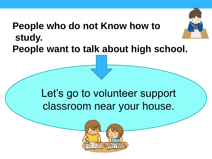## **People who do not Know how to study. People want to talk about high school.**

# Let's go to volunteer support classroom near your house.

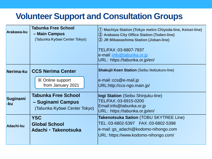### **Volunteer Support and Consultation Groups**

| Arakawa-ku      | Tabunka Free School<br>- Main Campus<br>(Tabunka Kyōsei Center Tokyo)            | (1) Machiya Station (Tokyo metro Chiyoda-line, Keisei-line)<br>(2) Arakawa City Office Station (Toden-line)<br>3 JR Mikawashima Station (Joban-line)<br>TEL/FAX:03-6807-7937<br>e-mail: info@tabunka.or.jp<br>URL: https://tabunka.or.jp/en/ |
|-----------------|----------------------------------------------------------------------------------|----------------------------------------------------------------------------------------------------------------------------------------------------------------------------------------------------------------------------------------------|
| Nerima-ku       | <b>CCS Nerima Center</b>                                                         | <b>Shakujii Koen Station (Seibu Ikebukuro-line)</b>                                                                                                                                                                                          |
|                 | <b>X</b> Online support<br>from January 2021                                     | $e$ -mail: $ccs@e$ -mail.jp<br>URL:http://ccs-ngo.main.jp/                                                                                                                                                                                   |
| Suginami<br>-ku | <b>Tabunka Free School</b><br>- Suginami Campus<br>(Tabunka Kyōsei Center Tokyo) | logi Station (Seibu Shinjuku-line)<br>TEL/FAX: 03-6915-0200<br>Email:info@tabunka.or.jp<br>URL: https://tabunka.or.jp/en/                                                                                                                    |
| Adachi-ku       | <b>YSC</b><br><b>Global School</b><br>Adachi · Takenotsuka                       | <b>Takenotsuka Sation (TOBU SKYTREE Line)</b><br>e-mail:gs_adachi@kodomo-nihongo.com<br>URL: https://www.kodomo-nihongo.com/                                                                                                                 |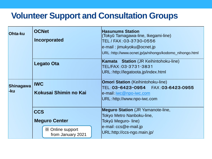#### **Volunteer Support and Consultation Groups**

| Ohta-ku                 | <b>OCNet</b><br>Incorporated                 | <b>Hasunums Station</b><br>(Tokyū Tamagawa-line, Ikegami-line)<br>TEL / FAX: 03-3730-0556<br>e-mail: jimukyoku@ocnet.jp<br>URL: http://www.ocnet.jp/ja/nihongo/kodomo_nihongo.html |
|-------------------------|----------------------------------------------|------------------------------------------------------------------------------------------------------------------------------------------------------------------------------------|
|                         | Legato Ota                                   | <b>Kamata</b> Station (JR Keihintohoku-line)<br>TEL/FAX: 03-3731-3831<br>URL: http://legatoota.jp/index.html                                                                       |
| <b>Shinagawa</b><br>-ku | <b>IWC</b><br>Kokusai Shimin no Kai          | <b>Omori Station</b> (Keihintohoku-line)<br>e-mail: iwc@npo-iwc.com<br>URL: http://www.npo-iwc.com                                                                                 |
|                         | <b>CCS</b><br><b>Meguro Center</b>           | <b>Meguro Station</b> (JR Yamanote-line,<br>Tokyo Metro Nanboku-line,<br>Tokyū Meguro- line)                                                                                       |
|                         | <b>X</b> Online support<br>from January 2021 | e-mail: ccs@e-mail.jp<br>URL:http://ccs-ngo.main.jp/                                                                                                                               |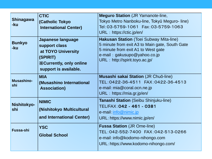| <b>Shinagawa</b><br>-ku<br><b>Bunkyo</b><br>-ku | <b>CTIC</b><br>(Catholic Tokyo<br><b>International Center)</b><br>Japanese language<br>support class<br>at TOYO University<br>(SPIRIT) | <b>Meguro Station (JR Yamanote-line,</b><br>Tokyo Metro Nanboku-line, Tokyū Meguro-line)<br>Tel: 03-5759-1061    Fax: 03-5759-1063<br>URL: https://ctic.jp/en/<br><b>Hakusan Station</b> (Toei Subway Mita-line)<br>5 minute from exit A3 to Main gate, South Gate<br>5 minute from exit A1 to West gate<br>e-mail: gakusupo@yahoo.co.jp |
|-------------------------------------------------|----------------------------------------------------------------------------------------------------------------------------------------|------------------------------------------------------------------------------------------------------------------------------------------------------------------------------------------------------------------------------------------------------------------------------------------------------------------------------------------|
|                                                 | <b>X</b> Currently, only online<br>support is available.                                                                               | URL: http://spirit.toyo.ac.jp/                                                                                                                                                                                                                                                                                                           |
| Musashino-<br>shi                               | <b>MIA</b><br>(Musashino International<br><b>Association)</b>                                                                          | <b>Musashi sakai Station (JR Chuō-line)</b><br>e-mail: mia@coral.ocn.ne.jp<br>URL: https://mia.gr.jp/en/                                                                                                                                                                                                                                 |
| Nishitokyo-<br>shi                              | <b>NIMIC</b><br>(Nishitokyo Multicultural<br>and International Center)                                                                 | <b>Tanashi Station</b> (Seibu Shinjuku-line)<br>TEL/FAX: 042 - 461 - 0381<br>e-mail: info@nimic.jp<br>URL: https://www.nimic.jp/en/                                                                                                                                                                                                      |
| Fussa-shi                                       | <b>YSC</b><br><b>Global School</b>                                                                                                     | <b>Fussa Station (JR Ome-line)</b><br>TEL:042-552-7400 FAX:042-513-0266<br>e-mail: info@kodomo-nihongo.com<br>URL: https://www.kodomo-nihongo.com/                                                                                                                                                                                       |